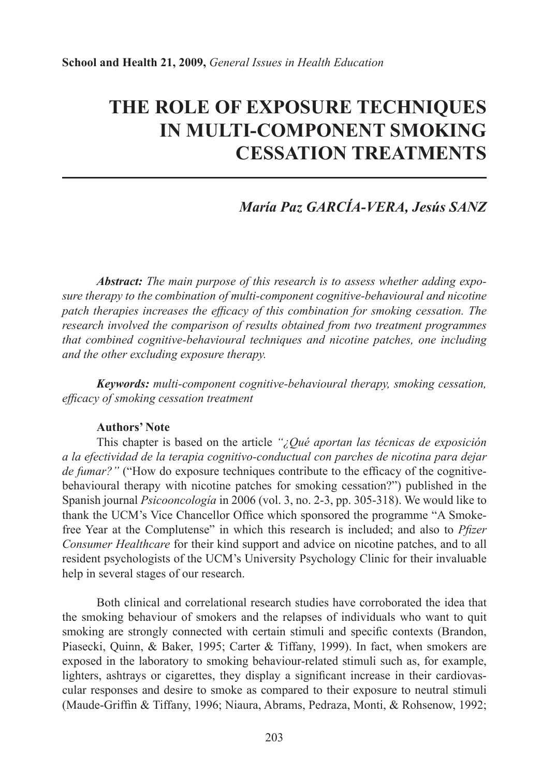# **THE ROLE OF EXPOSURE TECHNIQUES IN MULTI-COMPONENT SMOKING CESSATION TREATMENTS**

## *María Paz GARCÍA-VERA, Jesús SANZ*

*Abstract: The main purpose of this research is to assess whether adding exposure therapy to the combination of multi-component cognitive-behavioural and nicotine patch therapies increases the efficacy of this combination for smoking cessation. The research involved the comparison of results obtained from two treatment programmes that combined cognitive-behavioural techniques and nicotine patches, one including and the other excluding exposure therapy.*

*Keywords: multi-component cognitive-behavioural therapy, smoking cessation, effi cacy of smoking cessation treatment*

#### **Authors' Note**

This chapter is based on the article *"¿Qué aportan las técnicas de exposición a la efectividad de la terapia cognitivo-conductual con parches de nicotina para dejar de fumar?"* ("How do exposure techniques contribute to the efficacy of the cognitivebehavioural therapy with nicotine patches for smoking cessation?") published in the Spanish journal *Psicooncología* in 2006 (vol. 3, no. 2-3, pp. 305-318). We would like to thank the UCM's Vice Chancellor Office which sponsored the programme "A Smokefree Year at the Complutense" in which this research is included; and also to *Pfizer Consumer Healthcare* for their kind support and advice on nicotine patches, and to all resident psychologists of the UCM's University Psychology Clinic for their invaluable help in several stages of our research.

Both clinical and correlational research studies have corroborated the idea that the smoking behaviour of smokers and the relapses of individuals who want to quit smoking are strongly connected with certain stimuli and specific contexts (Brandon, Piasecki, Quinn, & Baker, 1995; Carter & Tiffany, 1999). In fact, when smokers are exposed in the laboratory to smoking behaviour-related stimuli such as, for example, lighters, ashtrays or cigarettes, they display a significant increase in their cardiovascular responses and desire to smoke as compared to their exposure to neutral stimuli (Maude-Griffin & Tiffany, 1996; Niaura, Abrams, Pedraza, Monti, & Rohsenow, 1992;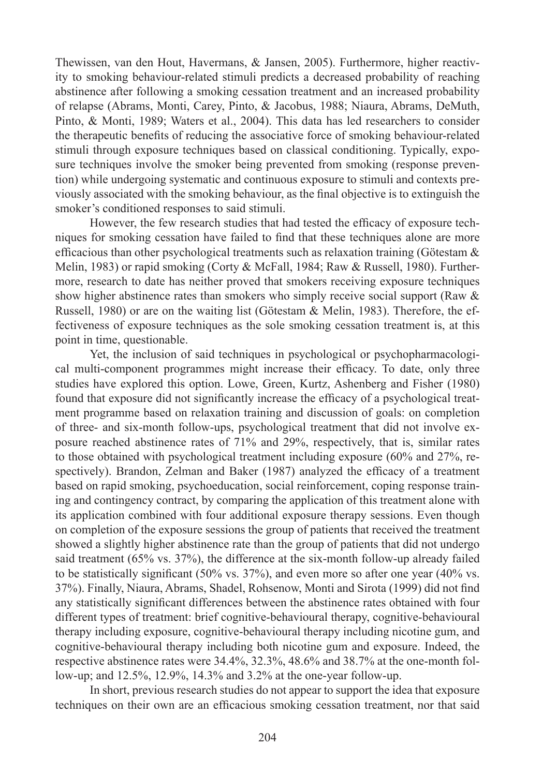Thewissen, van den Hout, Havermans, & Jansen, 2005). Furthermore, higher reactivity to smoking behaviour-related stimuli predicts a decreased probability of reaching abstinence after following a smoking cessation treatment and an increased probability of relapse (Abrams, Monti, Carey, Pinto, & Jacobus, 1988; Niaura, Abrams, DeMuth, Pinto, & Monti, 1989; Waters et al., 2004). This data has led researchers to consider the therapeutic benefits of reducing the associative force of smoking behaviour-related stimuli through exposure techniques based on classical conditioning. Typically, exposure techniques involve the smoker being prevented from smoking (response prevention) while undergoing systematic and continuous exposure to stimuli and contexts previously associated with the smoking behaviour, as the final objective is to extinguish the smoker's conditioned responses to said stimuli.

However, the few research studies that had tested the efficacy of exposure techniques for smoking cessation have failed to find that these techniques alone are more efficacious than other psychological treatments such as relaxation training (Götestam  $\&$ Melin, 1983) or rapid smoking (Corty & McFall, 1984; Raw & Russell, 1980). Furthermore, research to date has neither proved that smokers receiving exposure techniques show higher abstinence rates than smokers who simply receive social support (Raw & Russell, 1980) or are on the waiting list (Götestam & Melin, 1983). Therefore, the effectiveness of exposure techniques as the sole smoking cessation treatment is, at this point in time, questionable.

Yet, the inclusion of said techniques in psychological or psychopharmacological multi-component programmes might increase their efficacy. To date, only three studies have explored this option. Lowe, Green, Kurtz, Ashenberg and Fisher (1980) found that exposure did not significantly increase the efficacy of a psychological treatment programme based on relaxation training and discussion of goals: on completion of three- and six-month follow-ups, psychological treatment that did not involve exposure reached abstinence rates of 71% and 29%, respectively, that is, similar rates to those obtained with psychological treatment including exposure (60% and 27%, respectively). Brandon, Zelman and Baker (1987) analyzed the efficacy of a treatment based on rapid smoking, psychoeducation, social reinforcement, coping response training and contingency contract, by comparing the application of this treatment alone with its application combined with four additional exposure therapy sessions. Even though on completion of the exposure sessions the group of patients that received the treatment showed a slightly higher abstinence rate than the group of patients that did not undergo said treatment (65% vs. 37%), the difference at the six-month follow-up already failed to be statistically significant  $(50\% \text{ vs. } 37\%)$ , and even more so after one year  $(40\% \text{ vs. } 37\%)$ 37%). Finally, Niaura, Abrams, Shadel, Rohsenow, Monti and Sirota (1999) did not find any statistically significant differences between the abstinence rates obtained with four different types of treatment: brief cognitive-behavioural therapy, cognitive-behavioural therapy including exposure, cognitive-behavioural therapy including nicotine gum, and cognitive-behavioural therapy including both nicotine gum and exposure. Indeed, the respective abstinence rates were 34.4%, 32.3%, 48.6% and 38.7% at the one-month follow-up; and 12.5%, 12.9%, 14.3% and 3.2% at the one-year follow-up.

In short, previous research studies do not appear to support the idea that exposure techniques on their own are an efficacious smoking cessation treatment, nor that said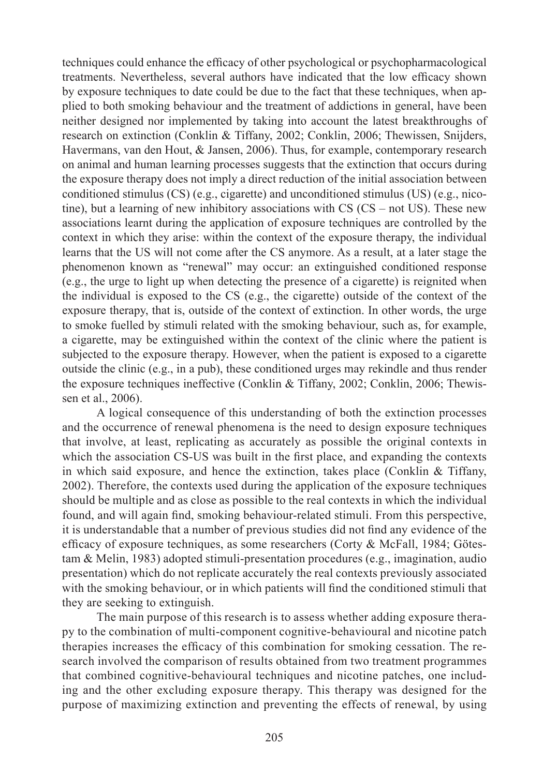techniques could enhance the efficacy of other psychological or psychopharmacological treatments. Nevertheless, several authors have indicated that the low efficacy shown by exposure techniques to date could be due to the fact that these techniques, when applied to both smoking behaviour and the treatment of addictions in general, have been neither designed nor implemented by taking into account the latest breakthroughs of research on extinction (Conklin & Tiffany, 2002; Conklin, 2006; Thewissen, Snijders, Havermans, van den Hout, & Jansen, 2006). Thus, for example, contemporary research on animal and human learning processes suggests that the extinction that occurs during the exposure therapy does not imply a direct reduction of the initial association between conditioned stimulus (CS) (e.g., cigarette) and unconditioned stimulus (US) (e.g., nicotine), but a learning of new inhibitory associations with CS (CS – not US). These new associations learnt during the application of exposure techniques are controlled by the context in which they arise: within the context of the exposure therapy, the individual learns that the US will not come after the CS anymore. As a result, at a later stage the phenomenon known as "renewal" may occur: an extinguished conditioned response (e.g., the urge to light up when detecting the presence of a cigarette) is reignited when the individual is exposed to the CS (e.g., the cigarette) outside of the context of the exposure therapy, that is, outside of the context of extinction. In other words, the urge to smoke fuelled by stimuli related with the smoking behaviour, such as, for example, a cigarette, may be extinguished within the context of the clinic where the patient is subjected to the exposure therapy. However, when the patient is exposed to a cigarette outside the clinic (e.g., in a pub), these conditioned urges may rekindle and thus render the exposure techniques ineffective (Conklin & Tiffany, 2002; Conklin, 2006; Thewissen et al., 2006).

A logical consequence of this understanding of both the extinction processes and the occurrence of renewal phenomena is the need to design exposure techniques that involve, at least, replicating as accurately as possible the original contexts in which the association CS-US was built in the first place, and expanding the contexts in which said exposure, and hence the extinction, takes place (Conklin  $\&$  Tiffany, 2002). Therefore, the contexts used during the application of the exposure techniques should be multiple and as close as possible to the real contexts in which the individual found, and will again find, smoking behaviour-related stimuli. From this perspective, it is understandable that a number of previous studies did not find any evidence of the efficacy of exposure techniques, as some researchers (Corty  $\&$  McFall, 1984; Götestam & Melin, 1983) adopted stimuli-presentation procedures (e.g., imagination, audio presentation) which do not replicate accurately the real contexts previously associated with the smoking behaviour, or in which patients will find the conditioned stimuli that they are seeking to extinguish.

The main purpose of this research is to assess whether adding exposure therapy to the combination of multi-component cognitive-behavioural and nicotine patch therapies increases the efficacy of this combination for smoking cessation. The research involved the comparison of results obtained from two treatment programmes that combined cognitive-behavioural techniques and nicotine patches, one including and the other excluding exposure therapy. This therapy was designed for the purpose of maximizing extinction and preventing the effects of renewal, by using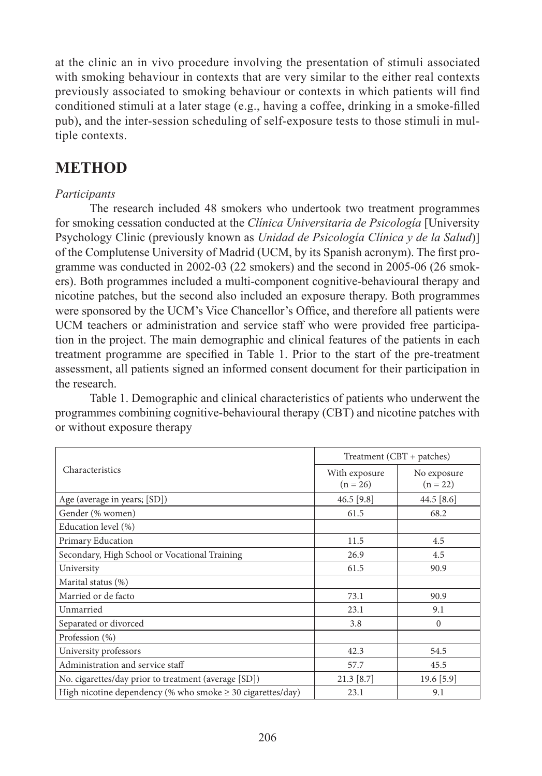at the clinic an in vivo procedure involving the presentation of stimuli associated with smoking behaviour in contexts that are very similar to the either real contexts previously associated to smoking behaviour or contexts in which patients will find conditioned stimuli at a later stage (e.g., having a coffee, drinking in a smoke-filled pub), and the inter-session scheduling of self-exposure tests to those stimuli in multiple contexts.

## **METHOD**

### *Participants*

The research included 48 smokers who undertook two treatment programmes for smoking cessation conducted at the *Clínica Universitaria de Psicología* [University Psychology Clinic (previously known as *Unidad de Psicología Clínica y de la Salud*)] of the Complutense University of Madrid (UCM, by its Spanish acronym). The first programme was conducted in 2002-03 (22 smokers) and the second in 2005-06 (26 smokers). Both programmes included a multi-component cognitive-behavioural therapy and nicotine patches, but the second also included an exposure therapy. Both programmes were sponsored by the UCM's Vice Chancellor's Office, and therefore all patients were UCM teachers or administration and service staff who were provided free participation in the project. The main demographic and clinical features of the patients in each treatment programme are specified in Table 1. Prior to the start of the pre-treatment assessment, all patients signed an informed consent document for their participation in the research.

Table 1. Demographic and clinical characteristics of patients who underwent the programmes combining cognitive-behavioural therapy (CBT) and nicotine patches with or without exposure therapy

| Characteristics                                                 | $Treatment (CBT + patches)$ |                           |
|-----------------------------------------------------------------|-----------------------------|---------------------------|
|                                                                 | With exposure<br>$(n = 26)$ | No exposure<br>$(n = 22)$ |
| Age (average in years; [SD])                                    | $46.5$ [9.8]                | 44.5 $[8.6]$              |
| Gender (% women)                                                | 61.5                        | 68.2                      |
| Education level (%)                                             |                             |                           |
| Primary Education                                               | 11.5                        | 4.5                       |
| Secondary, High School or Vocational Training                   | 26.9                        | 4.5                       |
| University                                                      | 61.5                        | 90.9                      |
| Marital status (%)                                              |                             |                           |
| Married or de facto                                             | 73.1                        | 90.9                      |
| Unmarried                                                       | 23.1                        | 9.1                       |
| Separated or divorced                                           | 3.8                         | $\Omega$                  |
| Profession (%)                                                  |                             |                           |
| University professors                                           | 42.3                        | 54.5                      |
| Administration and service staff                                | 57.7                        | 45.5                      |
| No. cigarettes/day prior to treatment (average [SD])            | $21.3$ [8.7]                | $19.6$ [5.9]              |
| High nicotine dependency (% who smoke $\geq$ 30 cigarettes/day) | 23.1                        | 9.1                       |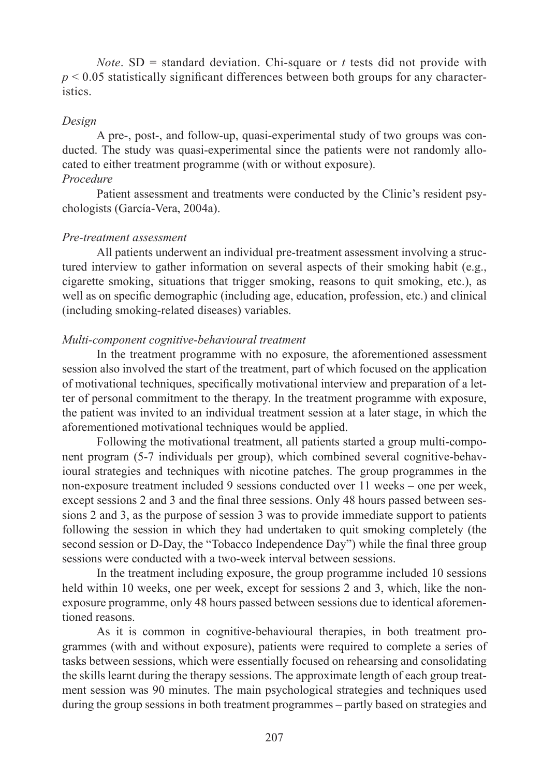*Note*.  $SD = standard deviation$ . Chi-square or *t* tests did not provide with  $p < 0.05$  statistically significant differences between both groups for any characteristics.

#### *Design*

A pre-, post-, and follow-up, quasi-experimental study of two groups was conducted. The study was quasi-experimental since the patients were not randomly allocated to either treatment programme (with or without exposure). *Procedure*

Patient assessment and treatments were conducted by the Clinic's resident psychologists (García-Vera, 2004a).

#### *Pre-treatment assessment*

All patients underwent an individual pre-treatment assessment involving a structured interview to gather information on several aspects of their smoking habit (e.g., cigarette smoking, situations that trigger smoking, reasons to quit smoking, etc.), as well as on specific demographic (including age, education, profession, etc.) and clinical (including smoking-related diseases) variables.

### *Multi-component cognitive-behavioural treatment*

In the treatment programme with no exposure, the aforementioned assessment session also involved the start of the treatment, part of which focused on the application of motivational techniques, specifically motivational interview and preparation of a letter of personal commitment to the therapy. In the treatment programme with exposure, the patient was invited to an individual treatment session at a later stage, in which the aforementioned motivational techniques would be applied.

Following the motivational treatment, all patients started a group multi-component program (5-7 individuals per group), which combined several cognitive-behavioural strategies and techniques with nicotine patches. The group programmes in the non-exposure treatment included 9 sessions conducted over 11 weeks – one per week, except sessions 2 and 3 and the final three sessions. Only 48 hours passed between sessions 2 and 3, as the purpose of session 3 was to provide immediate support to patients following the session in which they had undertaken to quit smoking completely (the second session or D-Day, the "Tobacco Independence Day") while the final three group sessions were conducted with a two-week interval between sessions.

In the treatment including exposure, the group programme included 10 sessions held within 10 weeks, one per week, except for sessions 2 and 3, which, like the nonexposure programme, only 48 hours passed between sessions due to identical aforementioned reasons.

As it is common in cognitive-behavioural therapies, in both treatment programmes (with and without exposure), patients were required to complete a series of tasks between sessions, which were essentially focused on rehearsing and consolidating the skills learnt during the therapy sessions. The approximate length of each group treatment session was 90 minutes. The main psychological strategies and techniques used during the group sessions in both treatment programmes – partly based on strategies and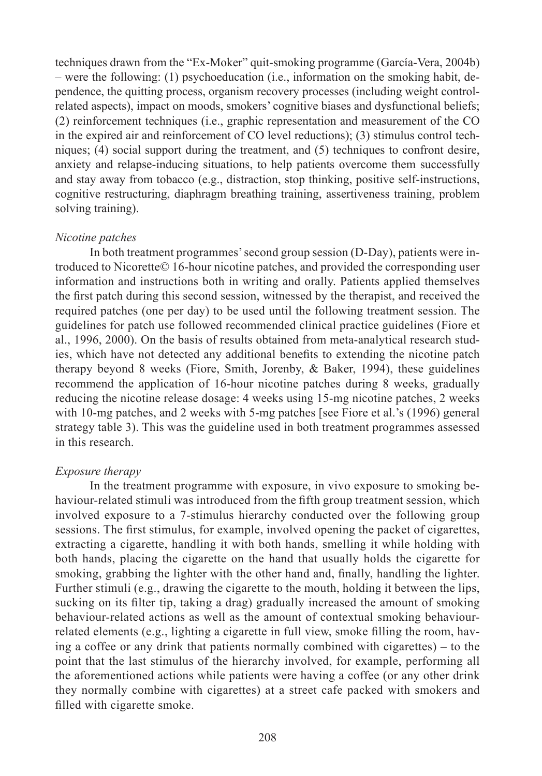techniques drawn from the "Ex-Moker" quit-smoking programme (García-Vera, 2004b) – were the following: (1) psychoeducation (i.e., information on the smoking habit, dependence, the quitting process, organism recovery processes (including weight controlrelated aspects), impact on moods, smokers' cognitive biases and dysfunctional beliefs; (2) reinforcement techniques (i.e., graphic representation and measurement of the CO in the expired air and reinforcement of CO level reductions); (3) stimulus control techniques; (4) social support during the treatment, and (5) techniques to confront desire, anxiety and relapse-inducing situations, to help patients overcome them successfully and stay away from tobacco (e.g., distraction, stop thinking, positive self-instructions, cognitive restructuring, diaphragm breathing training, assertiveness training, problem solving training).

#### *Nicotine patches*

In both treatment programmes' second group session (D-Day), patients were introduced to Nicorette© 16-hour nicotine patches, and provided the corresponding user information and instructions both in writing and orally. Patients applied themselves the first patch during this second session, witnessed by the therapist, and received the required patches (one per day) to be used until the following treatment session. The guidelines for patch use followed recommended clinical practice guidelines (Fiore et al., 1996, 2000). On the basis of results obtained from meta-analytical research studies, which have not detected any additional benefits to extending the nicotine patch therapy beyond 8 weeks (Fiore, Smith, Jorenby, & Baker, 1994), these guidelines recommend the application of 16-hour nicotine patches during 8 weeks, gradually reducing the nicotine release dosage: 4 weeks using 15-mg nicotine patches, 2 weeks with 10-mg patches, and 2 weeks with 5-mg patches [see Fiore et al.'s (1996) general strategy table 3). This was the guideline used in both treatment programmes assessed in this research.

#### *Exposure therapy*

In the treatment programme with exposure, in vivo exposure to smoking behaviour-related stimuli was introduced from the fifth group treatment session, which involved exposure to a 7-stimulus hierarchy conducted over the following group sessions. The first stimulus, for example, involved opening the packet of cigarettes, extracting a cigarette, handling it with both hands, smelling it while holding with both hands, placing the cigarette on the hand that usually holds the cigarette for smoking, grabbing the lighter with the other hand and, finally, handling the lighter. Further stimuli (e.g., drawing the cigarette to the mouth, holding it between the lips, sucking on its filter tip, taking a drag) gradually increased the amount of smoking behaviour-related actions as well as the amount of contextual smoking behaviourrelated elements (e.g., lighting a cigarette in full view, smoke filling the room, having a coffee or any drink that patients normally combined with cigarettes) – to the point that the last stimulus of the hierarchy involved, for example, performing all the aforementioned actions while patients were having a coffee (or any other drink they normally combine with cigarettes) at a street cafe packed with smokers and filled with cigarette smoke.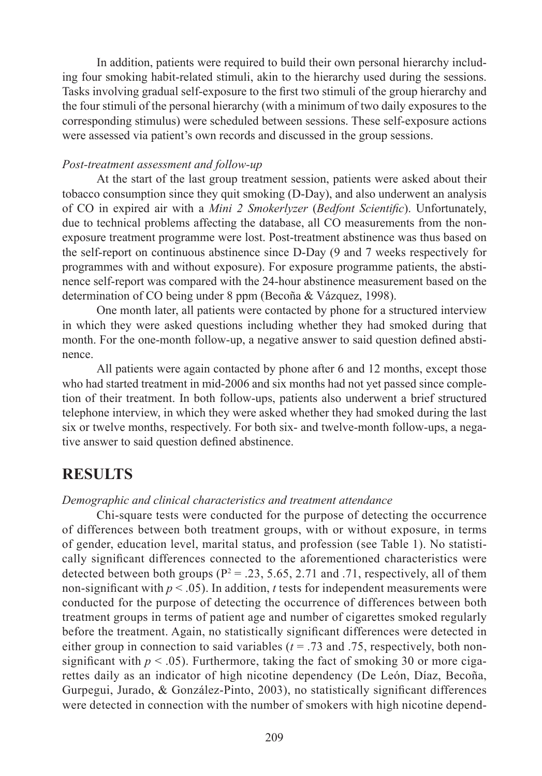In addition, patients were required to build their own personal hierarchy including four smoking habit-related stimuli, akin to the hierarchy used during the sessions. Tasks involving gradual self-exposure to the first two stimuli of the group hierarchy and the four stimuli of the personal hierarchy (with a minimum of two daily exposures to the corresponding stimulus) were scheduled between sessions. These self-exposure actions were assessed via patient's own records and discussed in the group sessions.

#### *Post-treatment assessment and follow-up*

At the start of the last group treatment session, patients were asked about their tobacco consumption since they quit smoking (D-Day), and also underwent an analysis of CO in expired air with a *Mini 2 Smokerlyzer (Bedfont Scientific)*. Unfortunately, due to technical problems affecting the database, all CO measurements from the nonexposure treatment programme were lost. Post-treatment abstinence was thus based on the self-report on continuous abstinence since D-Day (9 and 7 weeks respectively for programmes with and without exposure). For exposure programme patients, the abstinence self-report was compared with the 24-hour abstinence measurement based on the determination of CO being under 8 ppm (Becoña & Vázquez, 1998).

One month later, all patients were contacted by phone for a structured interview in which they were asked questions including whether they had smoked during that month. For the one-month follow-up, a negative answer to said question defined abstinence.

All patients were again contacted by phone after 6 and 12 months, except those who had started treatment in mid-2006 and six months had not yet passed since completion of their treatment. In both follow-ups, patients also underwent a brief structured telephone interview, in which they were asked whether they had smoked during the last six or twelve months, respectively. For both six- and twelve-month follow-ups, a negative answer to said question defined abstinence.

## **RESULTS**

#### *Demographic and clinical characteristics and treatment attendance*

Chi-square tests were conducted for the purpose of detecting the occurrence of differences between both treatment groups, with or without exposure, in terms of gender, education level, marital status, and profession (see Table 1). No statistically significant differences connected to the aforementioned characteristics were detected between both groups ( $P^2 = .23, 5.65, 2.71$  and .71, respectively, all of them non-significant with  $p < .05$ ). In addition, *t* tests for independent measurements were conducted for the purpose of detecting the occurrence of differences between both treatment groups in terms of patient age and number of cigarettes smoked regularly before the treatment. Again, no statistically significant differences were detected in either group in connection to said variables  $(t = .73$  and  $.75$ , respectively, both nonsignificant with  $p < .05$ ). Furthermore, taking the fact of smoking 30 or more cigarettes daily as an indicator of high nicotine dependency (De León, Díaz, Becoña, Gurpegui, Jurado,  $& González-Pinto, 2003$ ), no statistically significant differences were detected in connection with the number of smokers with high nicotine depend-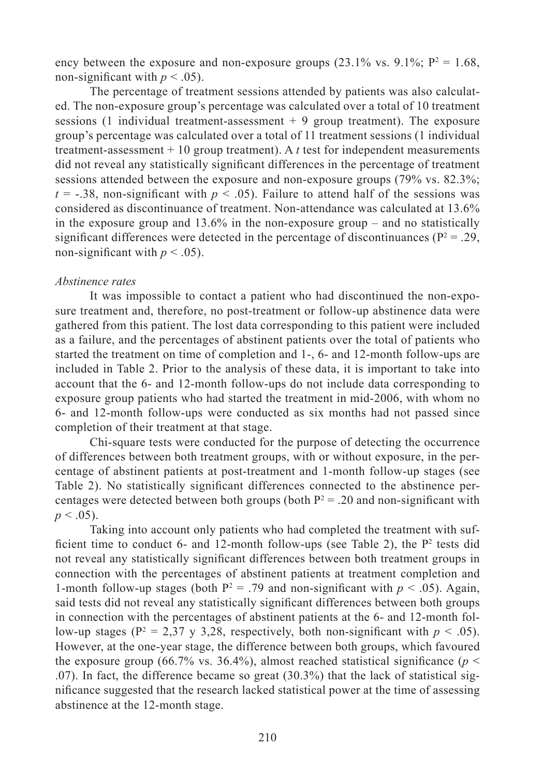ency between the exposure and non-exposure groups  $(23.1\% \text{ vs. } 9.1\%; \text{ P}^2 = 1.68,$ non-significant with  $p < .05$ ).

The percentage of treatment sessions attended by patients was also calculated. The non-exposure group's percentage was calculated over a total of 10 treatment sessions (1 individual treatment-assessment  $+9$  group treatment). The exposure group's percentage was calculated over a total of 11 treatment sessions (1 individual treatment-assessment + 10 group treatment). A *t* test for independent measurements did not reveal any statistically significant differences in the percentage of treatment sessions attended between the exposure and non-exposure groups (79% vs. 82.3%;  $t = -0.38$ , non-significant with  $p \le 0.05$ ). Failure to attend half of the sessions was considered as discontinuance of treatment. Non-attendance was calculated at 13.6% in the exposure group and 13.6% in the non-exposure group – and no statistically significant differences were detected in the percentage of discontinuances ( $P^2 = .29$ , non-significant with  $p < .05$ ).

#### *Abstinence rates*

It was impossible to contact a patient who had discontinued the non-exposure treatment and, therefore, no post-treatment or follow-up abstinence data were gathered from this patient. The lost data corresponding to this patient were included as a failure, and the percentages of abstinent patients over the total of patients who started the treatment on time of completion and 1-, 6- and 12-month follow-ups are included in Table 2. Prior to the analysis of these data, it is important to take into account that the 6- and 12-month follow-ups do not include data corresponding to exposure group patients who had started the treatment in mid-2006, with whom no 6- and 12-month follow-ups were conducted as six months had not passed since completion of their treatment at that stage.

Chi-square tests were conducted for the purpose of detecting the occurrence of differences between both treatment groups, with or without exposure, in the percentage of abstinent patients at post-treatment and 1-month follow-up stages (see Table 2). No statistically significant differences connected to the abstinence percentages were detected between both groups (both  $P^2 = .20$  and non-significant with  $p < .05$ ).

Taking into account only patients who had completed the treatment with sufficient time to conduct 6- and 12-month follow-ups (see Table 2), the  $P^2$  tests did not reveal any statistically significant differences between both treatment groups in connection with the percentages of abstinent patients at treatment completion and 1-month follow-up stages (both  $P^2 = .79$  and non-significant with  $p < .05$ ). Again, said tests did not reveal any statistically significant differences between both groups in connection with the percentages of abstinent patients at the 6- and 12-month follow-up stages ( $P^2 = 2.37$  y 3,28, respectively, both non-significant with  $p < .05$ ). However, at the one-year stage, the difference between both groups, which favoured the exposure group (66.7% vs. 36.4%), almost reached statistical significance ( $p <$ .07). In fact, the difference became so great (30.3%) that the lack of statistical significance suggested that the research lacked statistical power at the time of assessing abstinence at the 12-month stage.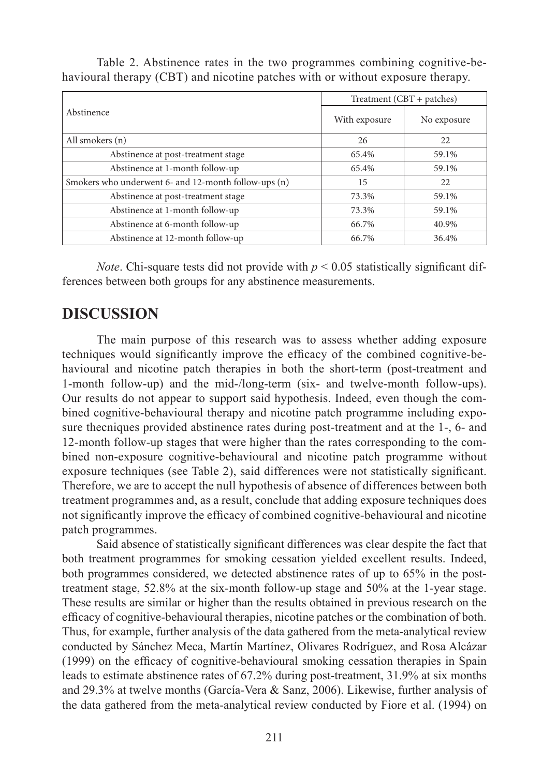Table 2. Abstinence rates in the two programmes combining cognitive-behavioural therapy (CBT) and nicotine patches with or without exposure therapy.

| Abstinence                                           | $Treatment (CBT + patches)$ |             |
|------------------------------------------------------|-----------------------------|-------------|
|                                                      | With exposure               | No exposure |
| All smokers (n)                                      | 26                          | 22          |
| Abstinence at post-treatment stage                   | 65.4%                       | 59.1%       |
| Abstinence at 1-month follow-up                      | 65.4%                       | 59.1%       |
| Smokers who underwent 6- and 12-month follow-ups (n) | 15                          | 22          |
| Abstinence at post-treatment stage                   | 73.3%                       | 59.1%       |
| Abstinence at 1-month follow-up                      | 73.3%                       | 59.1%       |
| Abstinence at 6-month follow-up                      | 66.7%                       | 40.9%       |
| Abstinence at 12-month follow-up                     | 66.7%                       | 36.4%       |

*Note*. Chi-square tests did not provide with  $p < 0.05$  statistically significant differences between both groups for any abstinence measurements.

## **DISCUSSION**

The main purpose of this research was to assess whether adding exposure techniques would significantly improve the efficacy of the combined cognitive-behavioural and nicotine patch therapies in both the short-term (post-treatment and 1-month follow-up) and the mid-/long-term (six- and twelve-month follow-ups). Our results do not appear to support said hypothesis. Indeed, even though the combined cognitive-behavioural therapy and nicotine patch programme including exposure thecniques provided abstinence rates during post-treatment and at the 1-, 6- and 12-month follow-up stages that were higher than the rates corresponding to the combined non-exposure cognitive-behavioural and nicotine patch programme without exposure techniques (see Table 2), said differences were not statistically significant. Therefore, we are to accept the null hypothesis of absence of differences between both treatment programmes and, as a result, conclude that adding exposure techniques does not significantly improve the efficacy of combined cognitive-behavioural and nicotine patch programmes.

Said absence of statistically significant differences was clear despite the fact that both treatment programmes for smoking cessation yielded excellent results. Indeed, both programmes considered, we detected abstinence rates of up to 65% in the posttreatment stage, 52.8% at the six-month follow-up stage and 50% at the 1-year stage. These results are similar or higher than the results obtained in previous research on the efficacy of cognitive-behavioural therapies, nicotine patches or the combination of both. Thus, for example, further analysis of the data gathered from the meta-analytical review conducted by Sánchez Meca, Martín Martínez, Olivares Rodríguez, and Rosa Alcázar  $(1999)$  on the efficacy of cognitive-behavioural smoking cessation therapies in Spain leads to estimate abstinence rates of 67.2% during post-treatment, 31.9% at six months and 29.3% at twelve months (García-Vera & Sanz, 2006). Likewise, further analysis of the data gathered from the meta-analytical review conducted by Fiore et al. (1994) on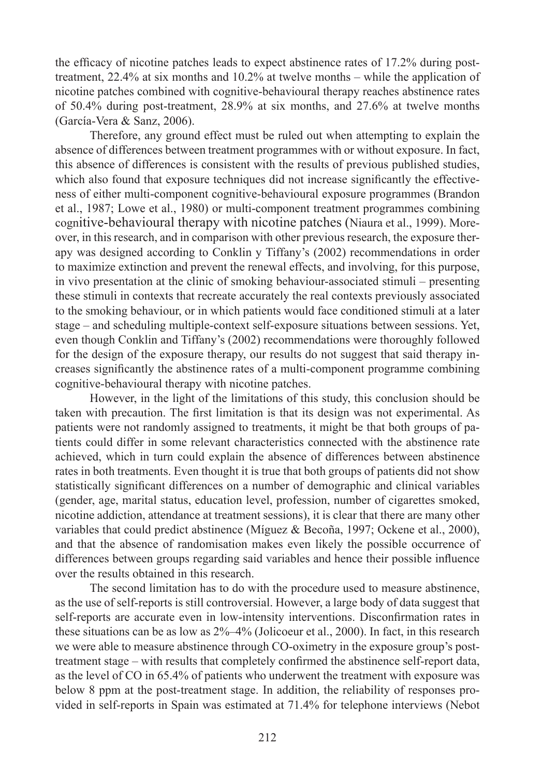the efficacy of nicotine patches leads to expect abstinence rates of 17.2% during posttreatment, 22.4% at six months and 10.2% at twelve months – while the application of nicotine patches combined with cognitive-behavioural therapy reaches abstinence rates of 50.4% during post-treatment, 28.9% at six months, and 27.6% at twelve months (García-Vera & Sanz, 2006).

Therefore, any ground effect must be ruled out when attempting to explain the absence of differences between treatment programmes with or without exposure. In fact, this absence of differences is consistent with the results of previous published studies, which also found that exposure techniques did not increase significantly the effectiveness of either multi-component cognitive-behavioural exposure programmes (Brandon et al., 1987; Lowe et al., 1980) or multi-component treatment programmes combining cognitive-behavioural therapy with nicotine patches (Niaura et al., 1999). Moreover, in this research, and in comparison with other previous research, the exposure therapy was designed according to Conklin y Tiffany's (2002) recommendations in order to maximize extinction and prevent the renewal effects, and involving, for this purpose, in vivo presentation at the clinic of smoking behaviour-associated stimuli – presenting these stimuli in contexts that recreate accurately the real contexts previously associated to the smoking behaviour, or in which patients would face conditioned stimuli at a later stage – and scheduling multiple-context self-exposure situations between sessions. Yet, even though Conklin and Tiffany's (2002) recommendations were thoroughly followed for the design of the exposure therapy, our results do not suggest that said therapy increases significantly the abstinence rates of a multi-component programme combining cognitive-behavioural therapy with nicotine patches.

However, in the light of the limitations of this study, this conclusion should be taken with precaution. The first limitation is that its design was not experimental. As patients were not randomly assigned to treatments, it might be that both groups of patients could differ in some relevant characteristics connected with the abstinence rate achieved, which in turn could explain the absence of differences between abstinence rates in both treatments. Even thought it is true that both groups of patients did not show statistically significant differences on a number of demographic and clinical variables (gender, age, marital status, education level, profession, number of cigarettes smoked, nicotine addiction, attendance at treatment sessions), it is clear that there are many other variables that could predict abstinence (Míguez & Becoña, 1997; Ockene et al., 2000), and that the absence of randomisation makes even likely the possible occurrence of differences between groups regarding said variables and hence their possible influence over the results obtained in this research.

The second limitation has to do with the procedure used to measure abstinence, as the use of self-reports is still controversial. However, a large body of data suggest that self-reports are accurate even in low-intensity interventions. Disconfirmation rates in these situations can be as low as 2%–4% (Jolicoeur et al., 2000). In fact, in this research we were able to measure abstinence through CO-oximetry in the exposure group's posttreatment stage – with results that completely confirmed the abstinence self-report data, as the level of CO in 65.4% of patients who underwent the treatment with exposure was below 8 ppm at the post-treatment stage. In addition, the reliability of responses provided in self-reports in Spain was estimated at 71.4% for telephone interviews (Nebot